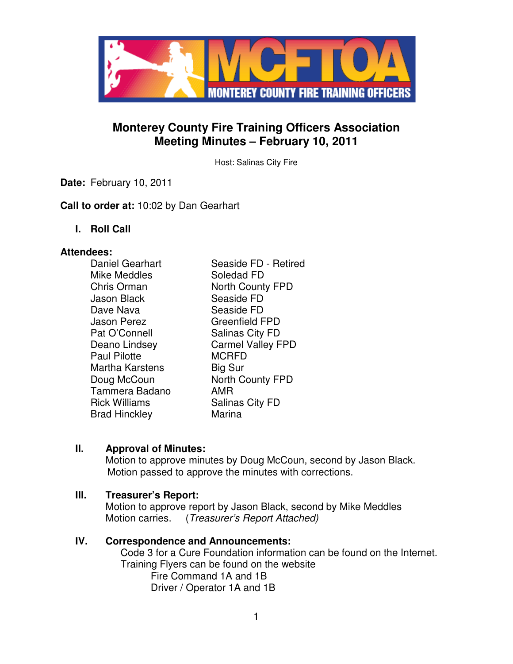

# **Monterey County Fire Training Officers Association Meeting Minutes – February 10, 2011**

Host: Salinas City Fire

**Date:** February 10, 2011

**Call to order at:** 10:02 by Dan Gearhart

**I. Roll Call** 

#### **Attendees:**

| Daniel Gearhart        | Seaside FD - Retired     |
|------------------------|--------------------------|
| Mike Meddles           | Soledad FD               |
| Chris Orman            | <b>North County FPD</b>  |
| <b>Jason Black</b>     | Seaside FD               |
| Dave Nava              | Seaside FD               |
| <b>Jason Perez</b>     | <b>Greenfield FPD</b>    |
| Pat O'Connell          | <b>Salinas City FD</b>   |
| Deano Lindsey          | <b>Carmel Valley FPD</b> |
| <b>Paul Pilotte</b>    | <b>MCRFD</b>             |
| <b>Martha Karstens</b> | Big Sur                  |
| Doug McCoun            | <b>North County FPD</b>  |
| Tammera Badano         | AMR                      |
| <b>Rick Williams</b>   | <b>Salinas City FD</b>   |
| <b>Brad Hinckley</b>   | Marina                   |

# **II. Approval of Minutes:**

Motion to approve minutes by Doug McCoun, second by Jason Black. Motion passed to approve the minutes with corrections.

## **III. Treasurer's Report:**

Motion to approve report by Jason Black, second by Mike Meddles Motion carries. (Treasurer's Report Attached)

#### **IV. Correspondence and Announcements:**

Code 3 for a Cure Foundation information can be found on the Internet. Training Flyers can be found on the website Fire Command 1A and 1B Driver / Operator 1A and 1B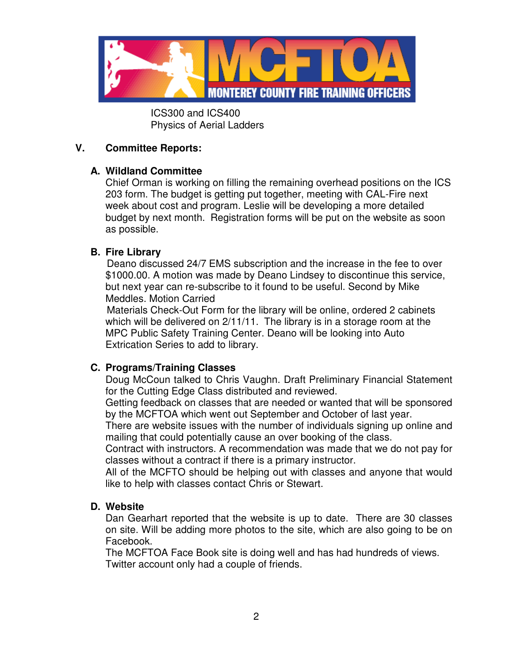

 ICS300 and ICS400 Physics of Aerial Ladders

## **V. Committee Reports:**

## **A. Wildland Committee**

Chief Orman is working on filling the remaining overhead positions on the ICS 203 form. The budget is getting put together, meeting with CAL-Fire next week about cost and program. Leslie will be developing a more detailed budget by next month. Registration forms will be put on the website as soon as possible.

## **B. Fire Library**

Deano discussed 24/7 EMS subscription and the increase in the fee to over \$1000.00. A motion was made by Deano Lindsey to discontinue this service, but next year can re-subscribe to it found to be useful. Second by Mike Meddles. Motion Carried

Materials Check-Out Form for the library will be online, ordered 2 cabinets which will be delivered on 2/11/11. The library is in a storage room at the MPC Public Safety Training Center. Deano will be looking into Auto Extrication Series to add to library.

# **C. Programs/Training Classes**

Doug McCoun talked to Chris Vaughn. Draft Preliminary Financial Statement for the Cutting Edge Class distributed and reviewed.

Getting feedback on classes that are needed or wanted that will be sponsored by the MCFTOA which went out September and October of last year.

There are website issues with the number of individuals signing up online and mailing that could potentially cause an over booking of the class.

Contract with instructors. A recommendation was made that we do not pay for classes without a contract if there is a primary instructor.

All of the MCFTO should be helping out with classes and anyone that would like to help with classes contact Chris or Stewart.

#### **D. Website**

Dan Gearhart reported that the website is up to date. There are 30 classes on site. Will be adding more photos to the site, which are also going to be on Facebook.

The MCFTOA Face Book site is doing well and has had hundreds of views. Twitter account only had a couple of friends.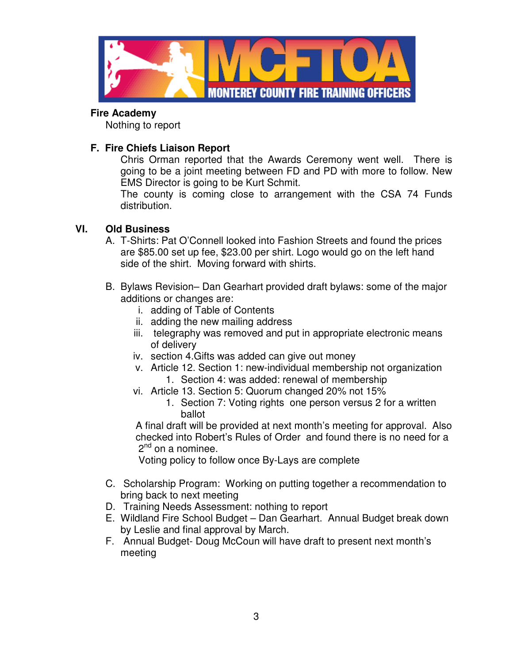

#### **Fire Academy**

Nothing to report

# **F. Fire Chiefs Liaison Report**

Chris Orman reported that the Awards Ceremony went well. There is going to be a joint meeting between FD and PD with more to follow. New EMS Director is going to be Kurt Schmit.

The county is coming close to arrangement with the CSA 74 Funds distribution.

# **VI. Old Business**

- A. T-Shirts: Pat O'Connell looked into Fashion Streets and found the prices are \$85.00 set up fee, \$23.00 per shirt. Logo would go on the left hand side of the shirt. Moving forward with shirts.
- B. Bylaws Revision– Dan Gearhart provided draft bylaws: some of the major additions or changes are:
	- i. adding of Table of Contents
	- ii. adding the new mailing address
	- iii. telegraphy was removed and put in appropriate electronic means of delivery
	- iv. section 4.Gifts was added can give out money
	- v. Article 12. Section 1: new-individual membership not organization 1. Section 4: was added: renewal of membership
	- vi. Article 13. Section 5: Quorum changed 20% not 15%
		- 1. Section 7: Voting rights one person versus 2 for a written ballot

A final draft will be provided at next month's meeting for approval. Also checked into Robert's Rules of Order and found there is no need for a  $2^{nd}$  on a nominee.

Voting policy to follow once By-Lays are complete

- C. Scholarship Program: Working on putting together a recommendation to bring back to next meeting
- D. Training Needs Assessment: nothing to report
- E. Wildland Fire School Budget Dan Gearhart. Annual Budget break down by Leslie and final approval by March.
- F. Annual Budget- Doug McCoun will have draft to present next month's meeting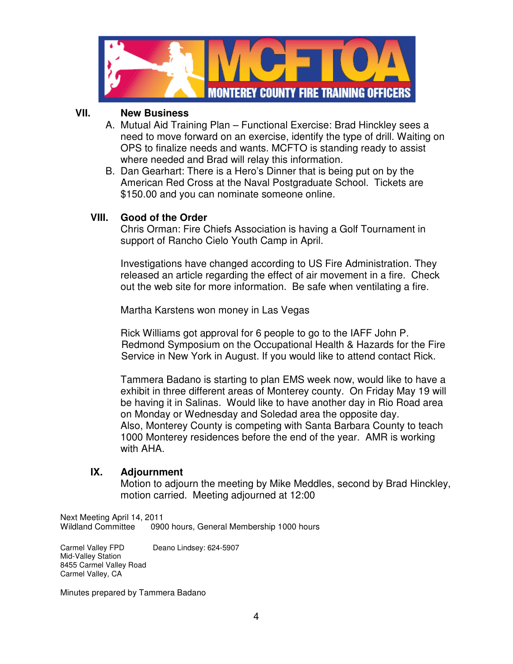

### **VII. New Business**

- A. Mutual Aid Training Plan Functional Exercise: Brad Hinckley sees a need to move forward on an exercise, identify the type of drill. Waiting on OPS to finalize needs and wants. MCFTO is standing ready to assist where needed and Brad will relay this information.
- B. Dan Gearhart: There is a Hero's Dinner that is being put on by the American Red Cross at the Naval Postgraduate School. Tickets are \$150.00 and you can nominate someone online.

## **VIII. Good of the Order**

Chris Orman: Fire Chiefs Association is having a Golf Tournament in support of Rancho Cielo Youth Camp in April.

Investigations have changed according to US Fire Administration. They released an article regarding the effect of air movement in a fire. Check out the web site for more information. Be safe when ventilating a fire.

Martha Karstens won money in Las Vegas

 Rick Williams got approval for 6 people to go to the IAFF John P. Redmond Symposium on the Occupational Health & Hazards for the Fire Service in New York in August. If you would like to attend contact Rick.

Tammera Badano is starting to plan EMS week now, would like to have a exhibit in three different areas of Monterey county. On Friday May 19 will be having it in Salinas. Would like to have another day in Rio Road area on Monday or Wednesday and Soledad area the opposite day. Also, Monterey County is competing with Santa Barbara County to teach 1000 Monterey residences before the end of the year. AMR is working with AHA.

#### **IX. Adjournment**

 Motion to adjourn the meeting by Mike Meddles, second by Brad Hinckley, motion carried. Meeting adjourned at 12:00

Next Meeting April 14, 2011 Wildland Committee 0900 hours, General Membership 1000 hours

Carmel Valley FPD Deano Lindsey: 624-5907 Mid-Valley Station 8455 Carmel Valley Road Carmel Valley, CA

Minutes prepared by Tammera Badano